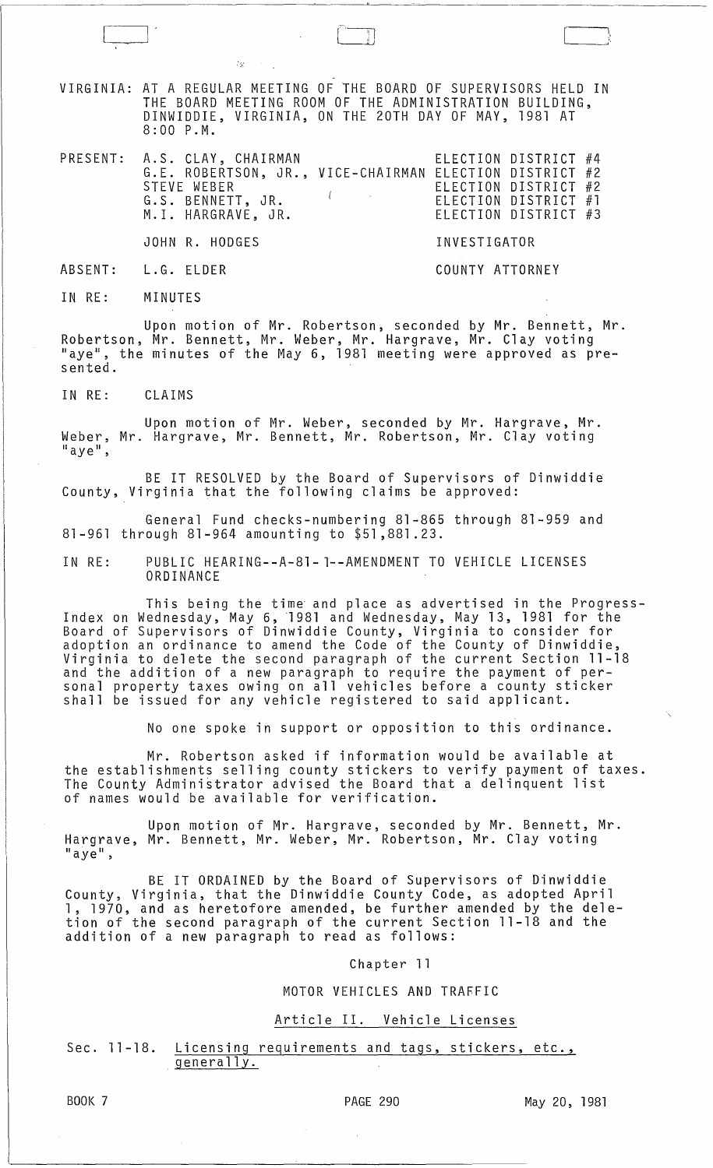VIRGINIA: AT A REGULAR MEETING OF THE BOARD OF SUPERVISORS HELD IN THE BOARD MEETING ROOM OF THE ADMINISTRATION BUILDING, DINWIDDIE, VIRGINIA, ON THE 20TH DAY OF MAY, 1981 AT 8:00 P.M.

| PRESENT: A.S. CLAY, CHAIRMAN                           | ELECTION DISTRICT #4<br>G.E. ROBERTSON, JR., VICE-CHAIRMAN ELECTION DISTRICT #2 |
|--------------------------------------------------------|---------------------------------------------------------------------------------|
| STEVE WEBER<br>G.S. BENNETT, JR.<br>M.I. HARGRAVE, JR. | ELECTION DISTRICT #2<br>ELECTION DISTRICT #1<br>ELECTION DISTRICT #3            |
| JOHN R. HODGES                                         | INVESTIGATOR                                                                    |

ABSENT: L.G. ELDER COUNTY ATTORNEY

 $\vert \cdot \vert$ 

---'

IN RE: MINUTES

Upon motion of Mr. Robertson, seconded by Mr. Bennett, Mr. Robertson, Mr. Bennett, Mr. Weber, Mr. Hargrave, Mr. Clay voting "aye", the minutes of the May 6, 1981 meeting were approved as presented.

IN RE: CLAIMS

Upon motion of Mr. Weber, seconded by Mr. Hargrave, Mr. Weber, Mr. Hargrave, Mr. Bennett, Mr. Robertson, Mr. Clay voting<br>"aye",

BE IT RESOLVED by the Board of Supervisors of Dinwiddie County, Virginia that the following claims be approved:

General Fund checks-numbering 81-865 through 81-959 and 81-961 through 81-964 amounting to \$51,881.23.

IN RE: PUBLIC HEARING--A-81- l--AMENDMENT TO VEHICLE LICENSES ORDINANCE

This being the time and place as advertised in the Progress-Index on Wednesday, May 6, '1981 and Wednesday, May 13, 1981 for the Board of Supervisors of Dinwiddie County, Virginia to consider for adoption an ordinance to amend the Code of the County of Dinwiddie, Virginia to delete the second paragraph of the current Section 11-18 and the addition of a new paragraph to require the payment of pershall be provided in the parally redicted for a county sticker<br>shall be issued for any vehicle registered to said applicant.

No one spoke in support or opposition to this ordinance.

Mr. Robertson asked if information would be available at the establishments selling county stickers to verify payment of taxes. The County Administrator advised the Board that a delinquent list of names would be available for verification.

Upon motion of Mr. Hargrave, seconded by Mr. Bennett, Mr. Hargrave, Mr. Bennett, Mr. Weber, Mr. Robertson, Mr. Clay voting  $"$ aye",

BE IT ORDAINED by the Board of Supervisors of Dinwiddie County, Virginia, that the Dinwiddie County Code, as adopted April 1, 1970, and as heretofore amended, be further amended by the deletion of the second paragraph of the current Section 11-18 and the addition of a new paragraph to read as follows:

Chapter 11

#### MOTOR VEHICLES AND TRAFFIC

# Article II. Vehicle Licenses

Sec. 11-18. Licensing requirements and tags, stickers, etc.,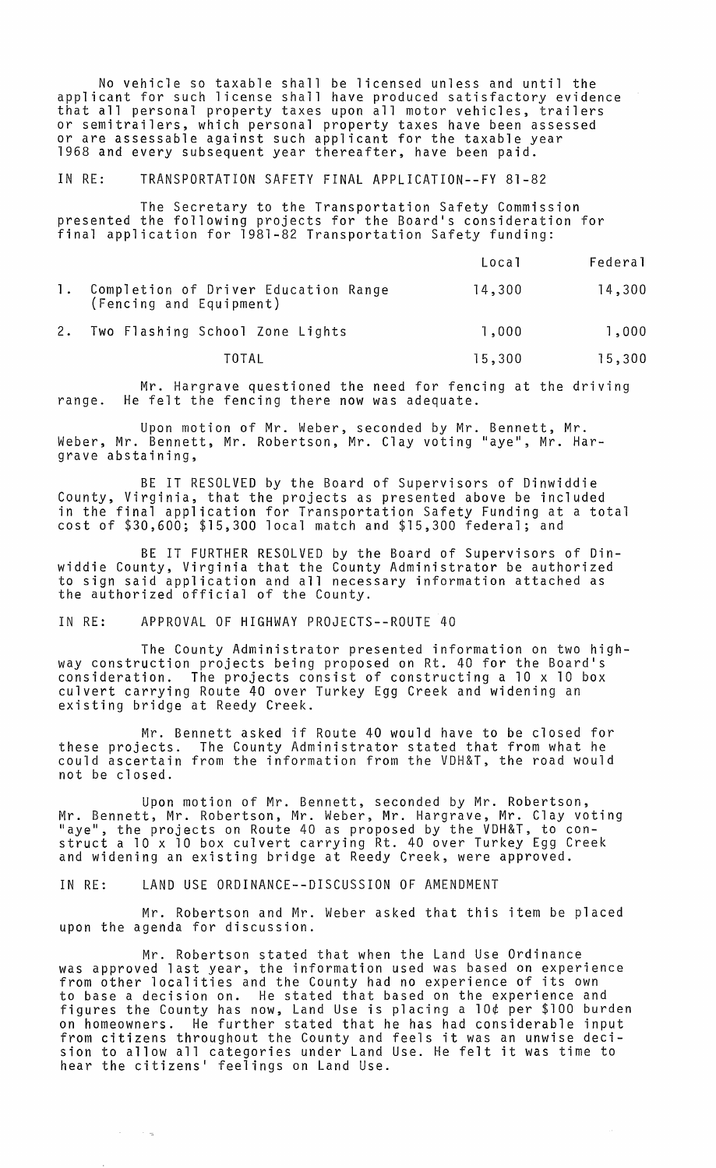No vehicle so taxable shall be licensed unless and until the applicant for such license shall have produced satisfactory evidence that all personal property taxes upon all motor vehicles, trailers or semitrailers, which personal property taxes have been assessed or are assessable against such applicant for the taxable year 1968 and every subsequent year thereafter, have been paid.

IN RE: TRANSPORTATION SAFETY FINAL APPLICATION--FY 81-82

The Secretary to the Transportation Safety Commission presented the following projects for the Board's consideration for final application for 1981-82 Transportation Safety funding:

|                                                                    | Local  | Federal |
|--------------------------------------------------------------------|--------|---------|
| 1. Completion of Driver Education Range<br>(Fencing and Equipment) | 14,300 | 14,300  |
| 2. Two Flashing School Zone Lights                                 | 1,000  | 1,000   |

TOTAL 15,300 15,300

Mr. Hargrave questioned the need for fencing at the driving range. He felt the fencing there now was adequate.

Upon motion of Mr. Weber, seconded by Mr. Bennett, Mr. Weber, Mr. Bennett, Mr. Robertson, Mr. Clay voting "aye", Mr. Hargrave abstaining,

BE IT RESOLVED by the Board of Supervisors of Dinwiddie County, Virginia, that the projects as presented above be included in the final application for Transportation Safety Funding at a total cost of \$30,600; \$15,300 local match and \$15,300 federal; and

BE IT FURTHER RESOLVED by the Board of Supervisors of Dinwiddie County, Virginia that the County Administrator be authorized to sign said application and all necessary information attached as the authorized official of the County.

IN RE: APPROVAL OF HIGHWAY PROJECTS--ROUTE 40

The County Administrator presented information on two highway construction projects being proposed on Rt. 40 for the Board's consideration. The projects consist of constructing a 10 x 10 box culvert carrying Route 40 over Turkey Egg Creek and widening an existing bridge at Reedy Creek.

Mr. Bennett asked if Route 40 would have to be closed for these projects. The County Administrator stated that from what he could ascertain from the information from the VDH&T, the road would not be closed.

Upon motion of Mr. Bennett, seconded by Mr. Robertson, Mr. Bennett, Mr. Robertson, Mr. Weber, Mr. Hargrave, Mr. Clay voting "aye", the projects on Route 40 as proposed by the VDH&T, to construct a 10 x 10 box culvert carrying Rt. 40 over Turkey Egg Creek and widening an existing bridge at Reedy Creek, were approved.

IN RE: LAND USE ORDINANCE--DISCUSSION OF AMENDMENT

 $\rightarrow$   $\pm$ 

Mr. Robertson and Mr. Weber asked that this item be placed upon the agenda for discussion.

Mr. Robertson stated that when the Land Use Ordinance was approved last year, the information used was based on experience<br>from other localities and the County had no experience of its own to base a decision on. He stated that based on the experience and figures the County has now, Land Use is placing a 10¢ per \$100 burden on homeowners. He further stated that he has had considerable input from citizens throughout the County and feels it was an unwise decision to allow all categories under Land Use. He felt it was time to hear the citizens' feelings on Land Use.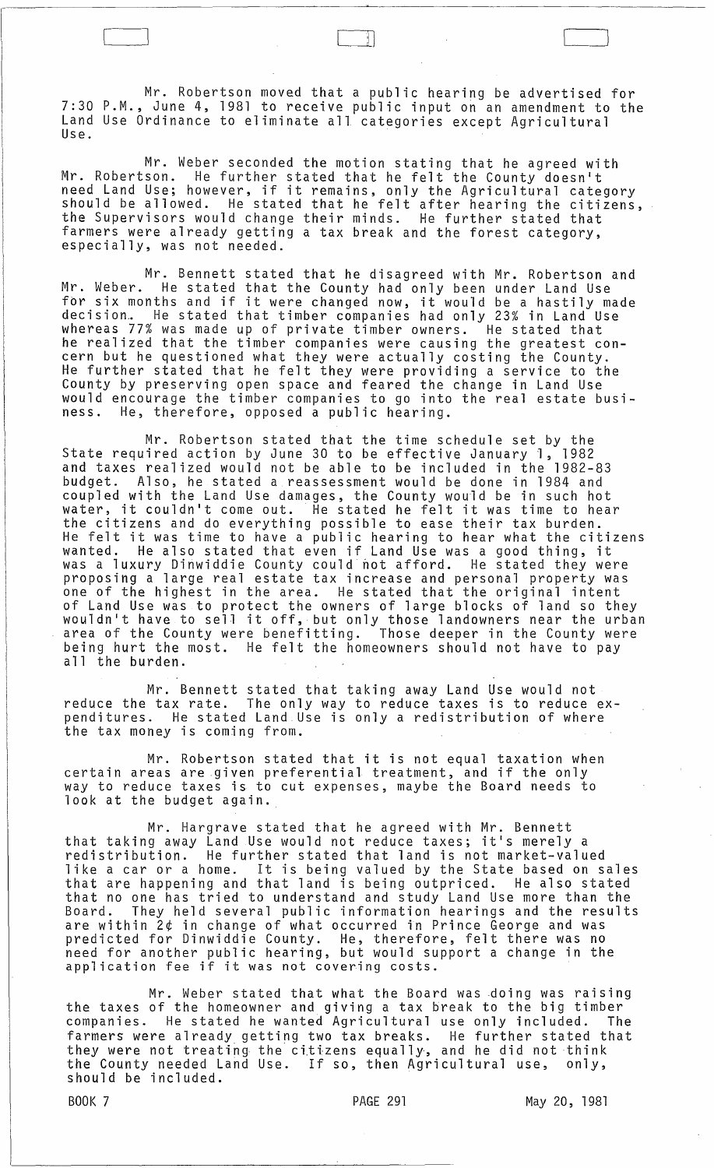Mr. Robertson moved that a public hearing be advertised for 7:30 P.M., June 4, 1981 to receive public input on an amendment to the Land Use Ordinance to eliminate all categories except Agricultural<br>Use.

 $\begin{pmatrix} 1 \\ -1 \end{pmatrix}$ 

Mr. Weber seconded the motion stating that he agreed with Mr. Robertson. He further stated that he felt the County doesn't need Land Use; however, if it remains, only the Agricultural category<br>should be allowed. He stated that he felt after hearing the citizens, the Supervisors would change their minds. He further stated that farmers were already getting a tax break and the forest category, especially, was not needed.

Mr. Bennett stated that he disagreed with Mr. Robertson and Mr. Weber. He stated that the County had only been under Land Use for six months and if it were changed now, it would be a hastily made decision.. He stated that timber companies had only 23% in Land Use whereas 77% was made up of private timber owners. He stated that he realized that the timber companies were causing the greatest concern but he questioned what they were actually costing the County. He further stated that he felt they were providing a service to the County by preserving open space and feared the change in Land Use would encourage the timber companies to go into the real estate business. He, therefore, opposed a public hearing.

Mr. Robertson stated that the time schedule set by the State required action by June 30 to be effective January 1, 1982 and taxes realized would not be able to be included in the 1982-83 and taxes realized would not be able to be included in the 1982-83<br>budget. Also, he stated a reassessment would be done in 1984 and coupled with the Land Use damages, the County would be in such hot water, it couldn't come out. He stated he felt it was time to hear the citizens and do everything possible to ease their tax burden. He felt it was time to have a public hearing to hear what the citizens wanted. He also stated that even if Land Use was a good thing, it was a luxury Dinwiddie County could not afford. He stated they were proposing a large real estate tax increase and personal property was one of the highest in the area. He stated that the original intent of Land Use was to protect the owners of large blocks of land so they wouldn't have to sell it off, but only those landowners near the urban area of the County were benefitting. Those deeper in the County were being hurt the most. He felt the homeowners should not have to pay all the burden.

Mr. Bennett stated that taking away Land Use would not reduce the tax rate. The only way to reduce taxes is to reduce expenditures. He stated Land Use is only a redistribution of where the tax money is coming from.

Mr. Robertson stated that it is not equal taxation when certain areas are .given preferential treatment, and if the only way to reduce taxes is to cut expenses, maybe the Board needs to look at the budget again.

Mr. Hargrave stated that he agreed with Mr. Bennett that taking away Land Use would not reduce taxes; it's merely a<br>redistribution. He further stated that land is not market-valu<br>like a car or a home. It is being valued by the State based on redistribution. He further stated that land is not market-valued like a car or a home. It is being valued by the State based on sales that are happening and that land is being outpriced. He also stated that no one has tried to understand and study Land Use more than the Board. They held several public information hearings and the results are within 2¢ in change of what occurred in Prince George and was predicted for Dinwiddie County. He, therefore, felt there was no need for another public hearing, but would support a change in the need for another public hearing, but would supplication fee if it was not covering costs.

Mr. Weber stated that what the Board was .doing was raising the taxes of the homeowner and giving a tax break to the big timber companies. He stated he wanted Agricultural use only included. The farmers were already getting two tax breaks. He further stated that they were not treating the citizens equally, and he did not think the County needed Land Use. If so, then Agricultural use, only, should be included.

BOOK 7 PAGE 291 May 20, 1981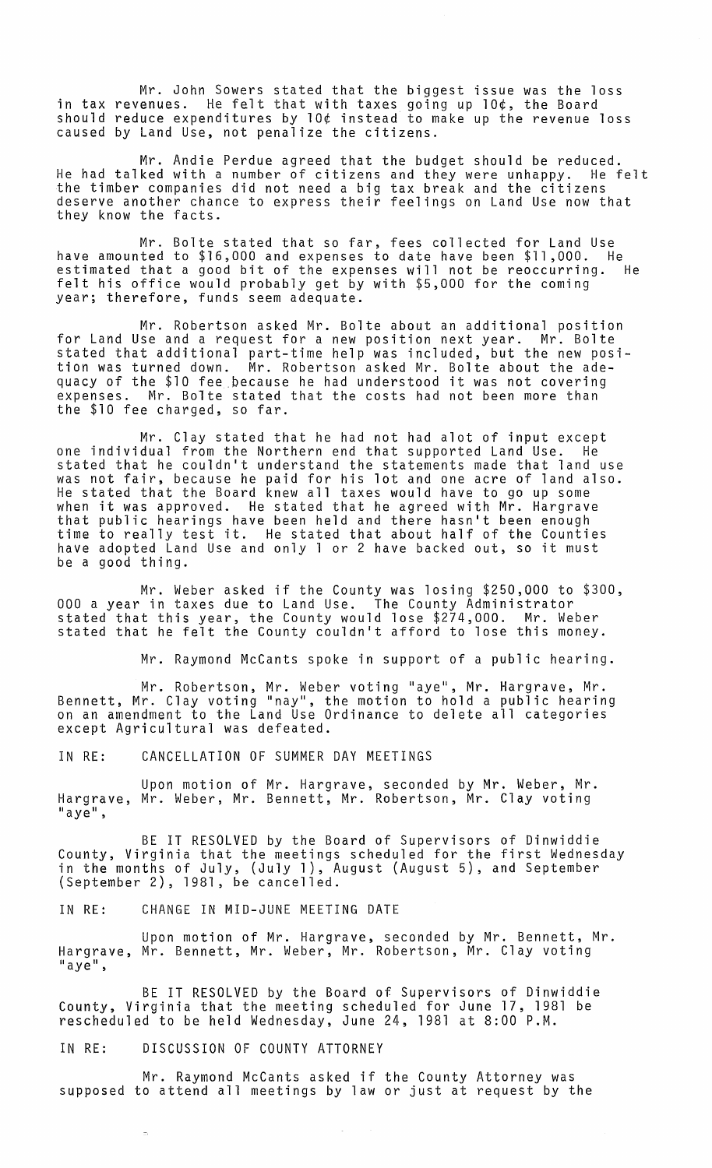Mr. John Sowers stated that the biggest issue was the loss in tax revenues. He felt that with taxes going up 10¢, the Board should reduce expenditures by 10¢ instead to make up the revenue loss caused by Land Use, not penalize the citizens.

Mr. Andie Perdue agreed that the budget should be reduced. He had talked with a number of citizens and they were unhappy. He felt the timber companies did not need a big tax break and the citizens deserve another chance to express their feelings on Land Use now that they know the facts.

Mr. Bolte stated that so far, fees collected for Land Use have amounted to \$16,000 and expenses to date have been \$11,000. He estimated that a good bit of the expenses will not be reoccurring. He felt his office would probably get by with \$5,000 for the coming year; therefore, funds seem adequate.

Mr. Robertson asked Mr. Bolte about an additional position for Land Use and a request for a new position next year. Mr. Bolte stated that additional part-time help was included, but the new position was turned down. Mr. Robertson asked Mr. Bolte about the adequacy of the \$10 fee ,because he had understood it was not covering expenses. Mr. Bolte stated that the costs had not been more than the \$10 fee charged, so far.

Mr. Clay stated that he had not had alot of input except one individual from the Northern end that supported Land Use. He stated that he couldn't understand the statements made that land use was not fair, because he paid for his lot and one acre of land also. He stated that the Board knew all taxes would have to go up some when it was approved. He stated that he agreed with Mr. Hargrave that public hearings have been held and there hasn't been enough time to really test it. He stated that about half of the Counties have adopted Land Use and only 1 or 2 have backed out, so it must be a good thing.

Mr. Weber asked if the County was losing \$250,000 to \$300, 000 a year in taxes due to Land Use. The County Administrator<br>stated that this year, the County would lose \$274,000. Mr. Weber stated that this year, the County would lose \$274,000. stated that he felt the County couldn't afford to lose this money.

Mr. Raymond McCants spoke in support of a public hearing.

Mr. Robertson, Mr. Weber voting "aye", Mr. Hargrave, Mr. Bennett, Mr. Clay voting "nay", the motion to hold a public hearing on an amendment to the Land Use Ordinance to delete all categories except Agricultural was defeated.

IN RE: CANCELLATION OF SUMMER DAY MEETINGS

Upon motion of Mr. Hargrave, seconded by Mr. Weber, Mr. Hargrave, Mr. Weber, Mr. Bennett, Mr. Robertson, Mr. Clay voting  $"$ aye",

BE IT RESOLVED by the Board of Supervisors of Dinwiddie County, Virginia that the meetings scheduled for the first Wednesday in the months of July, (July 1), August (August 5), and September (September 2), 1981, be cancelled.

IN RE: CHANGE IN MID-JUNE MEETING DATE

Upon motion of Mr. Hargrave, seconded by Mr. Bennett, Mr. Hargrave, Mr. Bennett, Mr. Weber, Mr. Robertson, Mr. Clay voting "aye",

BE IT RESOLVED by the Board of Supervisors of Dinwiddie County, Virginia that the meeting scheduled for June 17, 1981 be rescheduled to be held Wednesday, June 24, 1981 at 8:00 P.M.

## IN RE: DISCUSSION OF COUNTY ATTORNEY

Mr. Raymond McCants asked if the County Attorney was supposed to attend all meetings by law or just at request by the

 $\mathcal{L}_{\mathcal{A}}$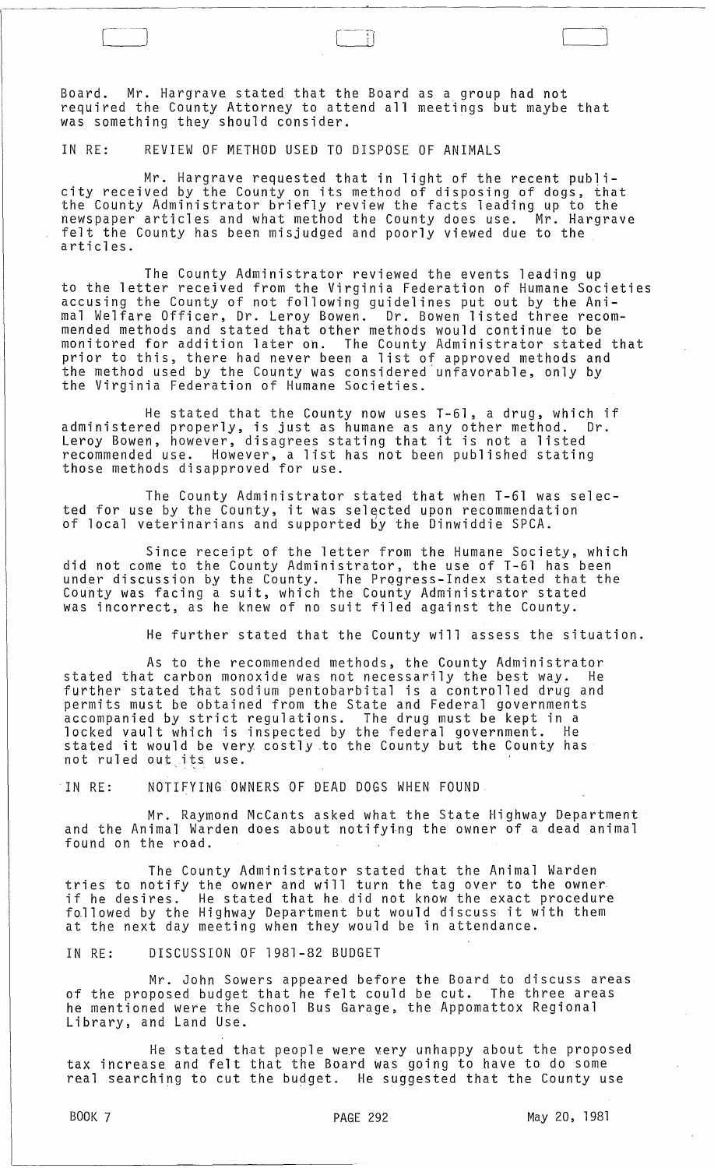Board. Mr. Hargrave stated that the Board as a group had not required the County Attorney to attend all meetings but maybe that was something they should consider.

Ħ

## IN RE: REVIEW OF METHOD USED TO DISPOSE OF ANIMALS

Mr. Hargrave requested that in light of the recent publi- city received by the County on its method of disposing of dogs, that the County Administrator briefly review the facts leading up to the newspaper articles and what method the County does use. Mr. Hargrave felt the County has been misjudged and poorly viewed due to the articles.

The County Administrator reviewed the events leading up to the letter received from the Virginia Federation of Humane Societies accusing the County of not following guidelines put out by the Animal Welfare Officer, Dr. Leroy Bowen. Dr. Bowen listed three recommended methods and stated that other methods would continue to be monitored for addition later on. The County Administrator stated that prior to this, there had never been a list of approved methods and the method used by the County was considered'unfavorable, only by the Virginia Federation of Humane Societies.

He stated that the County now uses T-61, a drug, which if administered properly, is just as humane as any other method. Dr. Leroy Bowen, however, disagrees stating that it is not a listed recommended use. However, a list has not been published stating those methods disapproved for use.

The County Administrator stated that when T-61 was selected for use by the County, it was selected upon recommendation of local veterinarians and supported by the Dinwiddie SPCA.

Since receipt of the letter from the Humane Society, which did not come to the County Administrator, the use of T-61 has been under discussion by the County. The Progress-Index stated that the County was facing a suit, which the County Administrator stated was incorrect, as he knew of no suit filed against the County.

He further stated that the County will assess the situation.

As to the recommended methods, the County Administrator stated that carbon monoxide was not necessarily the best way. He further stated that sodium pentobarbital is a controlled drug and permits must be obtained from the State and Federal governments accompanied by strict regulations. The drug must be kept in a locked vault which is inspected by the federal government. He rocked vault which is inspected by the rederal government. The<br>stated it would be very costly to the County but the County has not ruled out .its use.

'IN RE: NOTIFYING OWNERS OF DEAD DOGS WHEN FOUND

Mr. Raymond McCants asked what the State Highway Department and the Animal Warden does about notifying the owner of a dead animal found on the road.

The County Administrator stated that the Animal Warden tries to notify the owner and will turn the tag over to the owner if he desires. He stated that he did not know the exact procedure followed by the Highway Department but would discuss it with them at the next day meeting when they would be in attendance.

IN RE: DISCUSSION OF 1981-82 BUDGET

Mr. John Sowers appeared before the Board to discuss areas of the proposed budget that he felt could be cut. The three areas he mentioned were the School Bus Garage, the Appomattox Regional Library, and Land Use.

He stated that people were very unhappy about the proposed tax increase and felt that the Board was going to have to do some real searching to cut the budget. He suggested that the County use